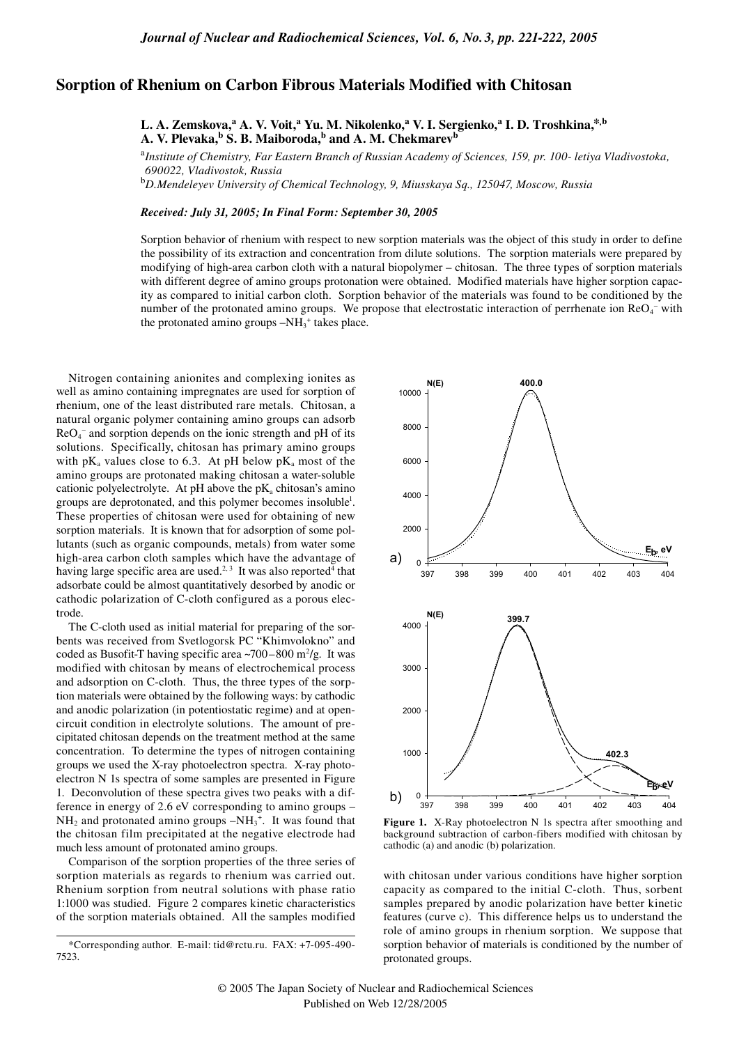## **Sorption of Rhenium on Carbon Fibrous Materials Modified with Chitosan**

**L. A. Zemskova,<sup>a</sup> A. V. Voit,<sup>a</sup> Yu. M. Nikolenko,<sup>a</sup> V. I. Sergienko,<sup>a</sup> I. D. Troshkina,\*,b** A. V. Plevaka,<sup>b</sup> S. B. Maiboroda,<sup>b</sup> and A. M. Chekmarev<sup>b</sup>

<sup>a</sup>*Institute of Chemistry, Far Eastern Branch of Russian Academy of Sciences, 159, pr. 100- letiya Vladivostoka, 690022, Vladivostok, Russia*

<sup>b</sup>*D.Mendeleyev University of Chemical Technology, 9, Miusskaya Sq., 125047, Moscow, Russia*

## *Received: July 31, 2005; In Final Form: September 30, 2005*

Sorption behavior of rhenium with respect to new sorption materials was the object of this study in order to define the possibility of its extraction and concentration from dilute solutions. The sorption materials were prepared by modifying of high-area carbon cloth with a natural biopolymer – chitosan. The three types of sorption materials with different degree of amino groups protonation were obtained. Modified materials have higher sorption capacity as compared to initial carbon cloth. Sorption behavior of the materials was found to be conditioned by the number of the protonated amino groups. We propose that electrostatic interaction of perrhenate ion  $ReO<sub>4</sub>$  with the protonated amino groups  $-NH_3^+$  takes place.

Nitrogen containing anionites and complexing ionites as well as amino containing impregnates are used for sorption of rhenium, one of the least distributed rare metals. Chitosan, a natural organic polymer containing amino groups can adsorb ReO<sub>4</sub><sup>-</sup> and sorption depends on the ionic strength and pH of its solutions. Specifically, chitosan has primary amino groups with  $pK_a$  values close to 6.3. At pH below  $pK_a$  most of the amino groups are protonated making chitosan a water-soluble cationic polyelectrolyte. At pH above the  $pK_a$  chitosan's amino groups are deprotonated, and this polymer becomes insoluble<sup>1</sup>. These properties of chitosan were used for obtaining of new sorption materials. It is known that for adsorption of some pollutants (such as organic compounds, metals) from water some high-area carbon cloth samples which have the advantage of having large specific area are used.<sup>2, 3</sup> It was also reported<sup>4</sup> that adsorbate could be almost quantitatively desorbed by anodic or cathodic polarization of C-cloth configured as a porous electrode.

The C-cloth used as initial material for preparing of the sorbents was received from Svetlogorsk PC "Khimvolokno" and coded as Busofit-T having specific area  $\sim$ 700–800 m<sup>2</sup>/g. It was modified with chitosan by means of electrochemical process and adsorption on C-cloth. Thus, the three types of the sorption materials were obtained by the following ways: by cathodic and anodic polarization (in potentiostatic regime) and at opencircuit condition in electrolyte solutions. The amount of precipitated chitosan depends on the treatment method at the same concentration. To determine the types of nitrogen containing groups we used the X-ray photoelectron spectra. X-ray photoelectron N 1s spectra of some samples are presented in Figure 1. Deconvolution of these spectra gives two peaks with a difference in energy of 2.6 eV corresponding to amino groups –  $NH_2$  and protonated amino groups  $-NH_3^+$ . It was found that the chitosan film precipitated at the negative electrode had much less amount of protonated amino groups.

Comparison of the sorption properties of the three series of sorption materials as regards to rhenium was carried out. Rhenium sorption from neutral solutions with phase ratio 1:1000 was studied. Figure 2 compares kinetic characteristics of the sorption materials obtained. All the samples modified



Figure 1. X-Ray photoelectron N 1s spectra after smoothing and background subtraction of carbon-fibers modified with chitosan by cathodic (a) and anodic (b) polarization.

with chitosan under various conditions have higher sorption capacity as compared to the initial C-cloth. Thus, sorbent samples prepared by anodic polarization have better kinetic features (curve c). This difference helps us to understand the role of amino groups in rhenium sorption. We suppose that sorption behavior of materials is conditioned by the number of protonated groups.

<sup>\*</sup>Corresponding author. E-mail: tid@rctu.ru. FAX: +7-095-490- 7523.